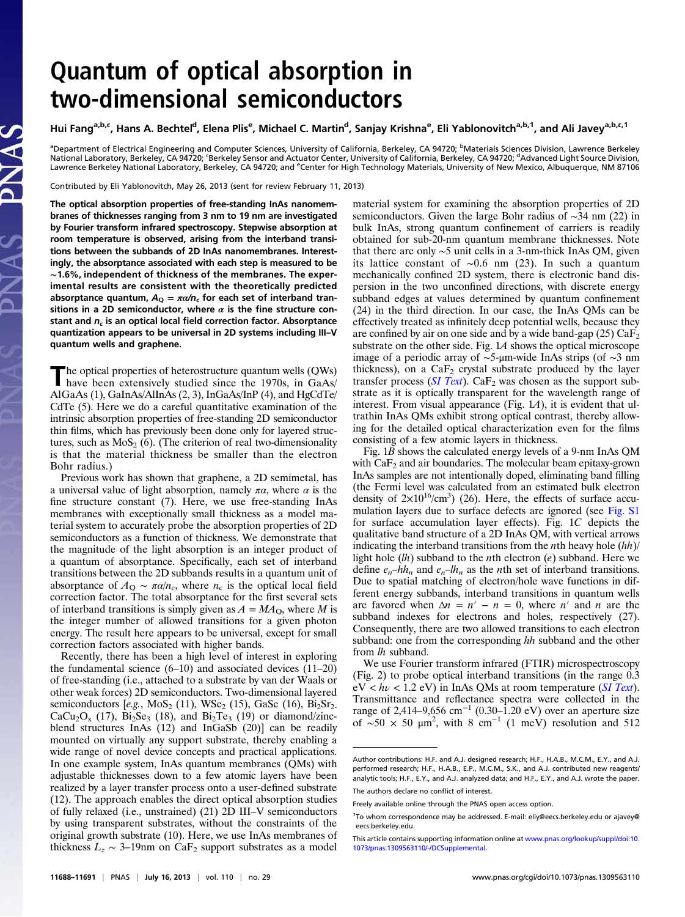## Quantum of optical absorption in two-dimensional semiconductors

Hui Fang<sup>a,b,c</sup>, Hans A. Bechtel<sup>d</sup>, Elena Plis<sup>e</sup>, Michael C. Martin<sup>d</sup>, Sanjay Krishna<sup>e</sup>, Eli Yablonovitch<sup>a,b,1</sup>, and Ali Javey<sup>a,b,c,1</sup>

<sup>a</sup>Department of Electrical Engineering and Computer Sciences, University of California, Berkeley, CA 94720; <sup>b</sup>Materials Sciences Division, Lawrence Berkeley<br>National Laboratory, Berkeley, CA 94720; ʿBerkeley Sensor and A Lawrence Berkeley National Laboratory, Berkeley, CA 94720; and <sup>e</sup>Center for High Technology Materials, University of New Mexico, Albuquerque, NM 87106

Contributed by Eli Yablonovitch, May 26, 2013 (sent for review February 11, 2013)

The optical absorption properties of free-standing InAs nanomembranes of thicknesses ranging from 3 nm to 19 nm are investigated by Fourier transform infrared spectroscopy. Stepwise absorption at room temperature is observed, arising from the interband transitions between the subbands of 2D InAs nanomembranes. Interestingly, the absorptance associated with each step is measured to be ∼1.6%, independent of thickness of the membranes. The experimental results are consistent with the theoretically predicted absorptance quantum,  $A_{\text{Q}} = \pi \alpha / n_c$  for each set of interband transitions in a 2D semiconductor, where  $\alpha$  is the fine structure constant and  $n_c$  is an optical local field correction factor. Absorptance quantization appears to be universal in 2D systems including III–V quantum wells and graphene.

The optical properties of heterostructure quantum wells (QWs) have been extensively studied since the 1970s, in GaAs/ AlGaAs (1), GaInAs/AlInAs (2, 3), InGaAs/InP (4), and HgCdTe/ CdTe (5). Here we do a careful quantitative examination of the intrinsic absorption properties of free-standing 2D semiconductor thin films, which has previously been done only for layered structures, such as  $MoS<sub>2</sub>$  (6). (The criterion of real two-dimensionality is that the material thickness be smaller than the electron Bohr radius.)

Previous work has shown that graphene, a 2D semimetal, has a universal value of light absorption, namely  $\pi\alpha$ , where  $\alpha$  is the fine structure constant (7). Here, we use free-standing InAs membranes with exceptionally small thickness as a model material system to accurately probe the absorption properties of 2D semiconductors as a function of thickness. We demonstrate that the magnitude of the light absorption is an integer product of a quantum of absorptance. Specifically, each set of interband transitions between the 2D subbands results in a quantum unit of absorptance of  $A_{\rm Q} \sim \pi \alpha/n_c$ , where  $n_c$  is the optical local field correction factor. The total absorptance for the first several sets of interband transitions is simply given as  $A = MA<sub>O</sub>$ , where M is the integer number of allowed transitions for a given photon energy. The result here appears to be universal, except for small correction factors associated with higher bands.

Recently, there has been a high level of interest in exploring the fundamental science (6–10) and associated devices (11–20) of free-standing (i.e., attached to a substrate by van der Waals or other weak forces) 2D semiconductors. Two-dimensional layered semiconductors [e.g., MoS<sub>2</sub> (11), WSe<sub>2</sub> (15), GaSe (16), Bi<sub>2</sub>Sr<sub>2</sub>.  $CaCu<sub>2</sub>O<sub>x</sub>$  (17),  $Bi<sub>2</sub>Se<sub>3</sub>$  (18), and  $Bi<sub>2</sub>Te<sub>3</sub>$  (19) or diamond/zincblend structures InAs (12) and InGaSb (20)] can be readily mounted on virtually any support substrate, thereby enabling a wide range of novel device concepts and practical applications. In one example system, InAs quantum membranes (QMs) with adjustable thicknesses down to a few atomic layers have been realized by a layer transfer process onto a user-defined substrate (12). The approach enables the direct optical absorption studies of fully relaxed (i.e., unstrained) (21) 2D III–V semiconductors by using transparent substrates, without the constraints of the original growth substrate (10). Here, we use InAs membranes of thickness  $L_z$  ∼ 3–19nm on CaF<sub>2</sub> support substrates as a model

material system for examining the absorption properties of 2D semiconductors. Given the large Bohr radius of ∼34 nm (22) in bulk InAs, strong quantum confinement of carriers is readily obtained for sub-20-nm quantum membrane thicknesses. Note that there are only ∼5 unit cells in a 3-nm-thick InAs QM, given its lattice constant of ∼0.6 nm (23). In such a quantum mechanically confined 2D system, there is electronic band dispersion in the two unconfined directions, with discrete energy subband edges at values determined by quantum confinement (24) in the third direction. In our case, the InAs QMs can be effectively treated as infinitely deep potential wells, because they are confined by air on one side and by a wide band-gap  $(25)$  CaF<sub>2</sub> substrate on the other side. Fig. 1A shows the optical microscope image of a periodic array of ∼5-μm-wide InAs strips (of ∼3 nm thickness), on a  $CaF<sub>2</sub>$  crystal substrate produced by the layer transfer process ([SI Text](http://www.pnas.org/lookup/suppl/doi:10.1073/pnas.1309563110/-/DCSupplemental/pnas.201309563SI.pdf?targetid=nameddest=STXT)). Ca $F_2$  was chosen as the support substrate as it is optically transparent for the wavelength range of interest. From visual appearance (Fig.  $1A$ ), it is evident that ultrathin InAs QMs exhibit strong optical contrast, thereby allowing for the detailed optical characterization even for the films consisting of a few atomic layers in thickness.

Fig. 1B shows the calculated energy levels of a 9-nm InAs QM with  $CaF<sub>2</sub>$  and air boundaries. The molecular beam epitaxy-grown InAs samples are not intentionally doped, eliminating band filling (the Fermi level was calculated from an estimated bulk electron density of  $2\times10^{16}$ /cm<sup>3</sup>) (26). Here, the effects of surface accumulation layers due to surface defects are ignored (see [Fig. S1](http://www.pnas.org/lookup/suppl/doi:10.1073/pnas.1309563110/-/DCSupplemental/pnas.201309563SI.pdf?targetid=nameddest=SF1) for surface accumulation layer effects). Fig. 1C depicts the qualitative band structure of a 2D InAs QM, with vertical arrows indicating the interband transitions from the *n*th heavy hole  $(hh)$ / light hole  $(lh)$  subband to the *n*th electron  $(e)$  subband. Here we define  $e_n$ –hh<sub>n</sub> and  $e_n$ –lh<sub>n</sub> as the nth set of interband transitions. Due to spatial matching of electron/hole wave functions in different energy subbands, interband transitions in quantum wells are favored when  $\Delta n = n' - n = 0$ , where n' and n are the subband indexes for electrons and holes, respectively (27). Consequently, there are two allowed transitions to each electron subband: one from the corresponding hh subband and the other from lh subband.

We use Fourier transform infrared (FTIR) microspectroscopy (Fig. 2) to probe optical interband transitions (in the range 0.3  $eV < h\nu < 1.2$  eV) in InAs QMs at room temperature (*[SI Text](http://www.pnas.org/lookup/suppl/doi:10.1073/pnas.1309563110/-/DCSupplemental/pnas.201309563SI.pdf?targetid=nameddest=STXT)*). Transmittance and reflectance spectra were collected in the range of 2,414–9,656 cm<sup>-1</sup> (0.30–1.20 eV) over an aperture size of ~50  $\times$  50  $\mu$ m<sup>2</sup>, with 8 cm<sup>-1</sup> (1 meV) resolution and 512

Author contributions: H.F. and A.J. designed research; H.F., H.A.B., M.C.M., E.Y., and A.J. performed research; H.F., H.A.B., E.P., M.C.M., S.K., and A.J. contributed new reagents/ analytic tools; H.F., E.Y., and A.J. analyzed data; and H.F., E.Y., and A.J. wrote the paper. The authors declare no conflict of interest.

Freely available online through the PNAS open access option.

<sup>1</sup> To whom correspondence may be addressed. E-mail: [eliy@eecs.berkeley.edu](mailto:eliy@eecs.berkeley.edu) or [ajavey@](mailto:ajavey@eecs.berkeley.edu) [eecs.berkeley.edu.](mailto:ajavey@eecs.berkeley.edu)

This article contains supporting information online at [www.pnas.org/lookup/suppl/doi:10.](http://www.pnas.org/lookup/suppl/doi:10.1073/pnas.1309563110/-/DCSupplemental) [1073/pnas.1309563110/-/DCSupplemental.](http://www.pnas.org/lookup/suppl/doi:10.1073/pnas.1309563110/-/DCSupplemental)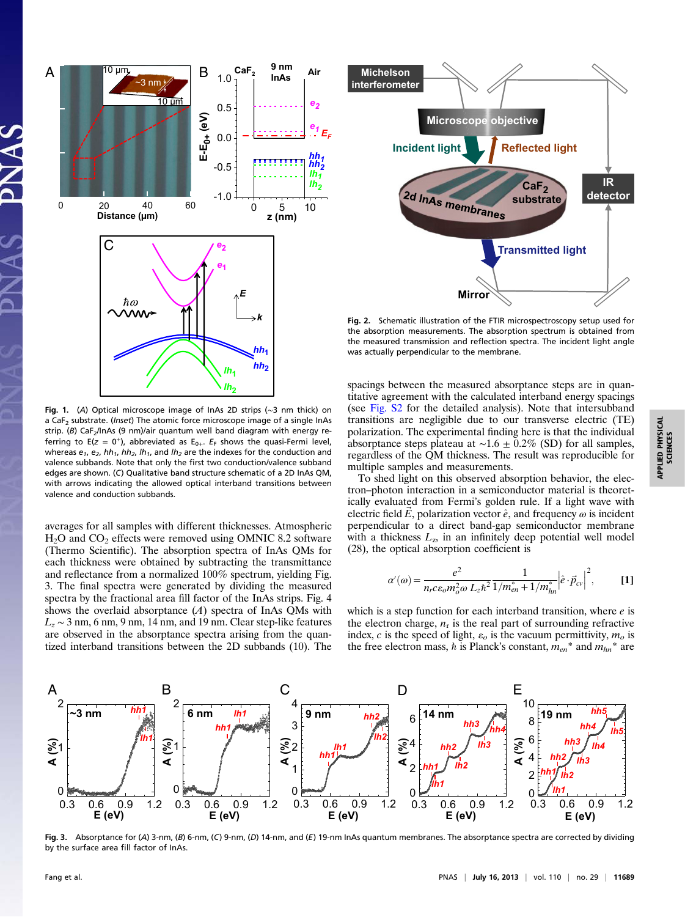

Fig. 1. (A) Optical microscope image of InAs 2D strips (∼3 nm thick) on a CaF<sub>2</sub> substrate. (*Inset*) The atomic force microscope image of a single InAs strip. (B) CaF<sub>2</sub>/InAs (9 nm)/air quantum well band diagram with energy referring to E(z = 0<sup>+</sup>), abbreviated as E<sub>0+</sub>.  $E_F$  shows the quasi-Fermi level, whereas  $e_1$ ,  $e_2$ ,  $hh_1$ ,  $hh_2$ ,  $lh_1$ , and  $lh_2$  are the indexes for the conduction and valence subbands. Note that only the first two conduction/valence subband edges are shown. (C) Qualitative band structure schematic of a 2D InAs QM, with arrows indicating the allowed optical interband transitions between valence and conduction subbands.

averages for all samples with different thicknesses. Atmospheric  $H<sub>2</sub>O$  and  $CO<sub>2</sub>$  effects were removed using OMNIC 8.2 software (Thermo Scientific). The absorption spectra of InAs QMs for each thickness were obtained by subtracting the transmittance and reflectance from a normalized 100% spectrum, yielding Fig. 3. The final spectra were generated by dividing the measured spectra by the fractional area fill factor of the InAs strips. Fig. 4 shows the overlaid absorptance  $(A)$  spectra of InAs QMs with  $L_z \sim 3$  nm, 6 nm, 9 nm, 14 nm, and 19 nm. Clear step-like features are observed in the absorptance spectra arising from the quantized interband transitions between the 2D subbands (10). The



Fig. 2. Schematic illustration of the FTIR microspectroscopy setup used for the absorption measurements. The absorption spectrum is obtained from the measured transmission and reflection spectra. The incident light angle was actually perpendicular to the membrane.

spacings between the measured absorptance steps are in quantitative agreement with the calculated interband energy spacings (see [Fig. S2](http://www.pnas.org/lookup/suppl/doi:10.1073/pnas.1309563110/-/DCSupplemental/pnas.201309563SI.pdf?targetid=nameddest=SF2) for the detailed analysis). Note that intersubband transitions are negligible due to our transverse electric (TE) polarization. The experimental finding here is that the individual absorptance steps plateau at  $\sim$ 1.6 ± 0.2% (SD) for all samples, regardless of the QM thickness. The result was reproducible for multiple samples and measurements.

To shed light on this observed absorption behavior, the electron–photon interaction in a semiconductor material is theoretically evaluated from Fermi's golden rule. If a light wave with electric field  $\vec{E}$ , polarization vector  $\hat{e}$ , and frequency  $\omega$  is incident perpendicular to a direct band-gap semiconductor membrane with a thickness  $L_z$ , in an infinitely deep potential well model (28), the optical absorption coefficient is

$$
\alpha'(\omega) = \frac{e^2}{n_r c \varepsilon_o m_o^2 \omega L_z \hbar^2} \frac{1}{1/m_{en}^* + 1/m_{hn}^*} \left| \hat{e} \cdot \vec{p}_{cv} \right|^2, \quad [1]
$$

which is a step function for each interband transition, where  $e$  is the electron charge,  $n_r$  is the real part of surrounding refractive index, c is the speed of light,  $\varepsilon_o$  is the vacuum permittivity,  $m_o$  is the free electron mass, h is Planck's constant,  $m_{en}$ <sup>\*</sup> and  $m_{hn}$ <sup>\*</sup> are



Fig. 3. Absorptance for (A) 3-nm, (B) 6-nm, (C) 9-nm, (D) 14-nm, and (E) 19-nm InAs quantum membranes. The absorptance spectra are corrected by dividing by the surface area fill factor of InAs.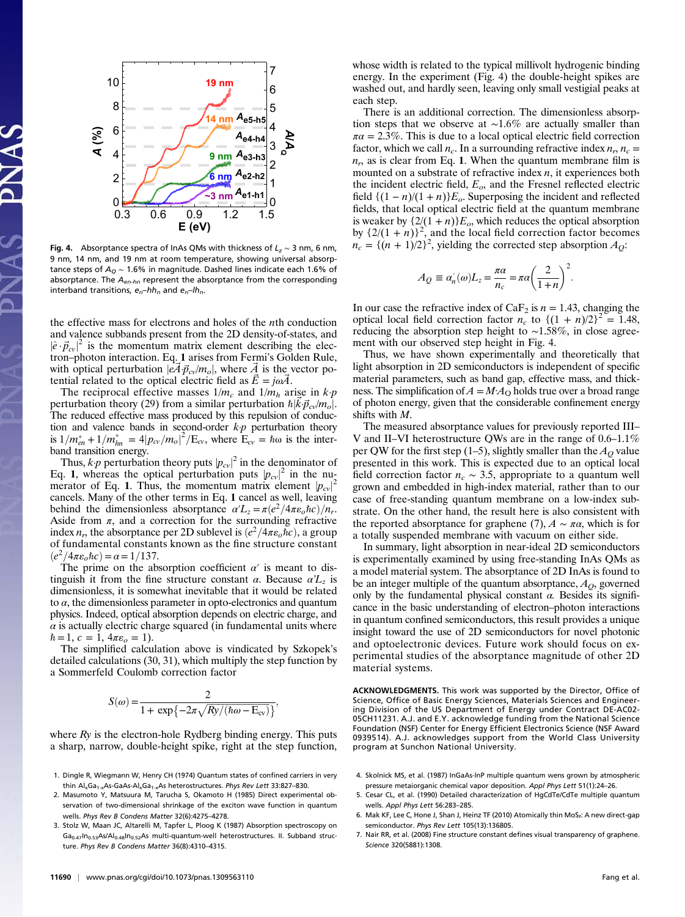

Fig. 4. Absorptance spectra of InAs OMs with thickness of  $L_z \sim 3$  nm, 6 nm, 9 nm, 14 nm, and 19 nm at room temperature, showing universal absorptance steps of  $A_Q \sim 1.6\%$  in magnitude. Dashed lines indicate each 1.6% of absorptance. The  $A_{en-hn}$  represent the absorptance from the corresponding interband transitions,  $e_n-hh_n$  and  $e_n-hh_n$ .

the effective mass for electrons and holes of the nth conduction and valence subbands present from the 2D density-of-states, and  $\left|\hat{e} \cdot \vec{p}_{cv}\right|^2$  is the momentum matrix element describing the elec-<br>tron-photon interaction. Eq. 1 arises from Fermi's Golden Rule. tron–photon interaction. Eq. 1 arises from Fermi's Golden Rule, with optical perturbation  $|eA\vec{p}_{cv}/m_o|$ , where  $\vec{A}$  is the vector potential related to the optical electric field as  $\vec{E} = j\omega\vec{A}$ .

The reciprocal effective masses  $1/m_c$  and  $1/m_h$  arise in  $k p$ perturbation theory (29) from a similar perturbation  $\hbar |\vec{k} \vec{p}_{cv}/m_o|$ .<br>The reduced effective mass produced by this repulsion of conduc-The reduced effective mass produced by this repulsion of conduction and valence bands in second-order  $kp$  perturbation theory is  $1/m_{en}^* + 1/m_{hn}^* = 4|p_{cv}/m_o|^2/E_{cv}$ , where  $E_{cv} = \hbar\omega$  is the interband transition energy.

Thus, k-p perturbation theory puts  $|p_{cv}|^2$  in the denominator of <br>1. 1 whereas the optical perturbation puts  $|p_{cv}|^2$  in the nu-Eq. 1, whereas the optical perturbation puts  $|p_{cv}|^2$  in the nu-<br>merator of Eq. 1. Thus, the momentum matrix element  $|p_{cv}|^2$ merator of Eq. 1. Thus, the momentum matrix element  $|p_{cv}|^2$ <br>cancels Many of the other terms in Eq. 1 cancel as well leaving cancels. Many of the other terms in Eq. 1 cancel as well, leaving behind the dimensionless absorptance  $\alpha' L_z = \pi (e^2/4\pi \epsilon_0 \hbar c)/n_r$ . Aside from  $\pi$ , and a correction for the surrounding refractive index  $n_r$ , the absorptance per 2D sublevel is  $\left(e^2/4\pi\varepsilon_0\hbar c\right)$ , a group of fundamental constants known as the fine structure constant  $(e^2/4\pi\varepsilon_0\hbar c) = \alpha = 1/137.$ 

The prime on the absorption coefficient  $\alpha'$  is meant to distinguish it from the fine structure constant  $\alpha$ . Because  $\alpha L_z$  is dimensionless, it is somewhat inevitable that it would be related to  $\alpha$ , the dimensionless parameter in opto-electronics and quantum physics. Indeed, optical absorption depends on electric charge, and  $\alpha$  is actually electric charge squared (in fundamental units where  $\hbar = 1, c = 1, 4\pi\varepsilon_o = 1$ .

The simplified calculation above is vindicated by Szkopek's detailed calculations (30, 31), which multiply the step function by a Sommerfeld Coulomb correction factor

$$
S(\omega) = \frac{2}{1 + \exp\{-2\pi\sqrt{Ry/(h\omega - E_{\text{cv}})}\}},
$$

where  $Ry$  is the electron-hole Rydberg binding energy. This puts a sharp, narrow, double-height spike, right at the step function,

- 1. Dingle R, Wiegmann W, Henry CH (1974) Quantum states of confined carriers in very thin Al<sub>x</sub>Ga<sub>1-x</sub>As-GaAs-Al<sub>x</sub>Ga<sub>1-x</sub>As heterostructures. Phys Rev Lett 33:827-830.
- 2. Masumoto Y, Matsuura M, Tarucha S, Okamoto H (1985) Direct experimental observation of two-dimensional shrinkage of the exciton wave function in quantum wells. Phys Rev B Condens Matter 32(6):4275–4278.
- 3. Stolz W, Maan JC, Altarelli M, Tapfer L, Ploog K (1987) Absorption spectroscopy on  $Ga<sub>0.47</sub>$ In<sub>0.53</sub>As/Al<sub>0.48</sub>In<sub>0.52</sub>As multi-quantum-well heterostructures. II. Subband structure. Phys Rev B Condens Matter 36(8):4310–4315.

whose width is related to the typical millivolt hydrogenic binding energy. In the experiment (Fig. 4) the double-height spikes are washed out, and hardly seen, leaving only small vestigial peaks at each step.

There is an additional correction. The dimensionless absorption steps that we observe at ∼1.6% are actually smaller than  $\pi a = 2.3\%$ . This is due to a local optical electric field correction factor, which we call  $n_c$ . In a surrounding refractive index  $n_r$ ,  $n_c$  =  $n_r$ , as is clear from Eq. 1. When the quantum membrane film is mounted on a substrate of refractive index  $n$ , it experiences both the incident electric field,  $E<sub>o</sub>$ , and the Fresnel reflected electric field  $\{(1 - n)/(1 + n)\}E_o$ . Superposing the incident and reflected fields, that local optical electric field at the quantum membrane is weaker by  $\{2/(1 + n)\}E_o$ , which reduces the optical absorption by  $\{2/(1 + n)\}^2$ , and the local field correction factor becomes  $n = \{(n + 1)/2\}^2$  yielding the corrected step absorption  $A_2$ .  $n_c = \{(n+1)/2\}^2$ , yielding the corrected step absorption  $A_Q$ :

$$
A_Q \equiv \alpha'_n(\omega)L_z = \frac{\pi\alpha}{n_c} = \pi\alpha \left(\frac{2}{1+n}\right)^2.
$$

In our case the refractive index of CaF<sub>2</sub> is  $n = 1.43$ , changing the optical local field correction factor  $n_c$  to  $\{(1 + n)/2\}^2 = 1.48$ , reducing the absorption step height to ∼1.58%, in close agreement with our observed step height in Fig. 4.

Thus, we have shown experimentally and theoretically that light absorption in 2D semiconductors is independent of specific material parameters, such as band gap, effective mass, and thickness. The simplification of  $A = M \cdot A_{\Omega}$  holds true over a broad range of photon energy, given that the considerable confinement energy shifts with M.

The measured absorptance values for previously reported III– V and II–VI heterostructure QWs are in the range of 0.6–1.1% per QW for the first step (1–5), slightly smaller than the  $A<sub>O</sub>$  value presented in this work. This is expected due to an optical local field correction factor  $n_c \sim 3.5$ , appropriate to a quantum well grown and embedded in high-index material, rather than to our case of free-standing quantum membrane on a low-index substrate. On the other hand, the result here is also consistent with the reported absorptance for graphene (7),  $A \sim \pi \alpha$ , which is for a totally suspended membrane with vacuum on either side.

In summary, light absorption in near-ideal 2D semiconductors is experimentally examined by using free-standing InAs QMs as a model material system. The absorptance of 2D InAs is found to be an integer multiple of the quantum absorptance,  $A_O$ , governed only by the fundamental physical constant  $\alpha$ . Besides its significance in the basic understanding of electron–photon interactions in quantum confined semiconductors, this result provides a unique insight toward the use of 2D semiconductors for novel photonic and optoelectronic devices. Future work should focus on experimental studies of the absorptance magnitude of other 2D material systems.

ACKNOWLEDGMENTS. This work was supported by the Director, Office of Science, Office of Basic Energy Sciences, Materials Sciences and Engineering Division of the US Department of Energy under Contract DE-AC02- 05CH11231. A.J. and E.Y. acknowledge funding from the National Science Foundation (NSF) Center for Energy Efficient Electronics Science (NSF Award 0939514). A.J. acknowledges support from the World Class University program at Sunchon National University.

- 4. Skolnick MS, et al. (1987) InGaAs-lnP multiple quantum wens grown by atmospheric pressure metaiorganic chemical vapor deposition. Appl Phys Lett 51(1):24–26.
- 5. Cesar CL, et al. (1990) Detailed characterization of HgCdTe/CdTe multiple quantum wells. Appl Phys Lett 56:283–285.
- 6. Mak KF, Lee C, Hone J, Shan J, Heinz TF (2010) Atomically thin MoS₂: A new direct-gap semiconductor. Phys Rev Lett 105(13):136805.
- 7. Nair RR, et al. (2008) Fine structure constant defines visual transparency of graphene. Science 320(5881):1308.